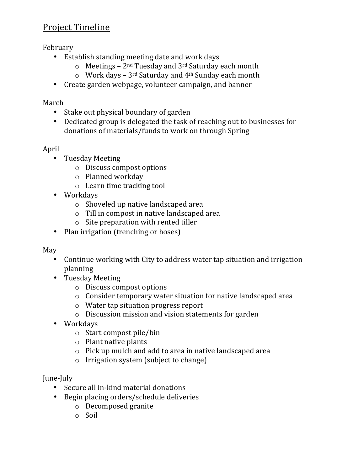# Project Timeline

February

- Establish standing meeting date and work days
	- $\circ$  Meetings 2<sup>nd</sup> Tuesday and 3<sup>rd</sup> Saturday each month
	- $\circ$  Work days 3<sup>rd</sup> Saturday and 4<sup>th</sup> Sunday each month
- Create garden webpage, volunteer campaign, and banner

### March

- Stake out physical boundary of garden
- Dedicated group is delegated the task of reaching out to businesses for donations of materials/funds to work on through Spring

## April

- Tuesday Meeting
	- $\circ$  Discuss compost options
	- o Planned workday
	- $\circ$  Learn time tracking tool
- Workdays
	- $\circ$  Shoveled up native landscaped area
	- $\circ$  Till in compost in native landscaped area
	- $\circ$  Site preparation with rented tiller
- Plan irrigation (trenching or hoses)

May 

- Continue working with City to address water tap situation and irrigation planning
- Tuesday Meeting
	- $\circ$  Discuss compost options
	- $\circ$  Consider temporary water situation for native landscaped area
	- $\circ$  Water tap situation progress report
	- $\circ$  Discussion mission and vision statements for garden
- Workdays
	- $\circ$  Start compost pile/bin
	- $\circ$  Plant native plants
	- $\circ$  Pick up mulch and add to area in native landscaped area
	- $\circ$  Irrigation system (subject to change)

June-July 

- Secure all in-kind material donations
- Begin placing orders/schedule deliveries
	- o Decomposed granite
	- o Soil